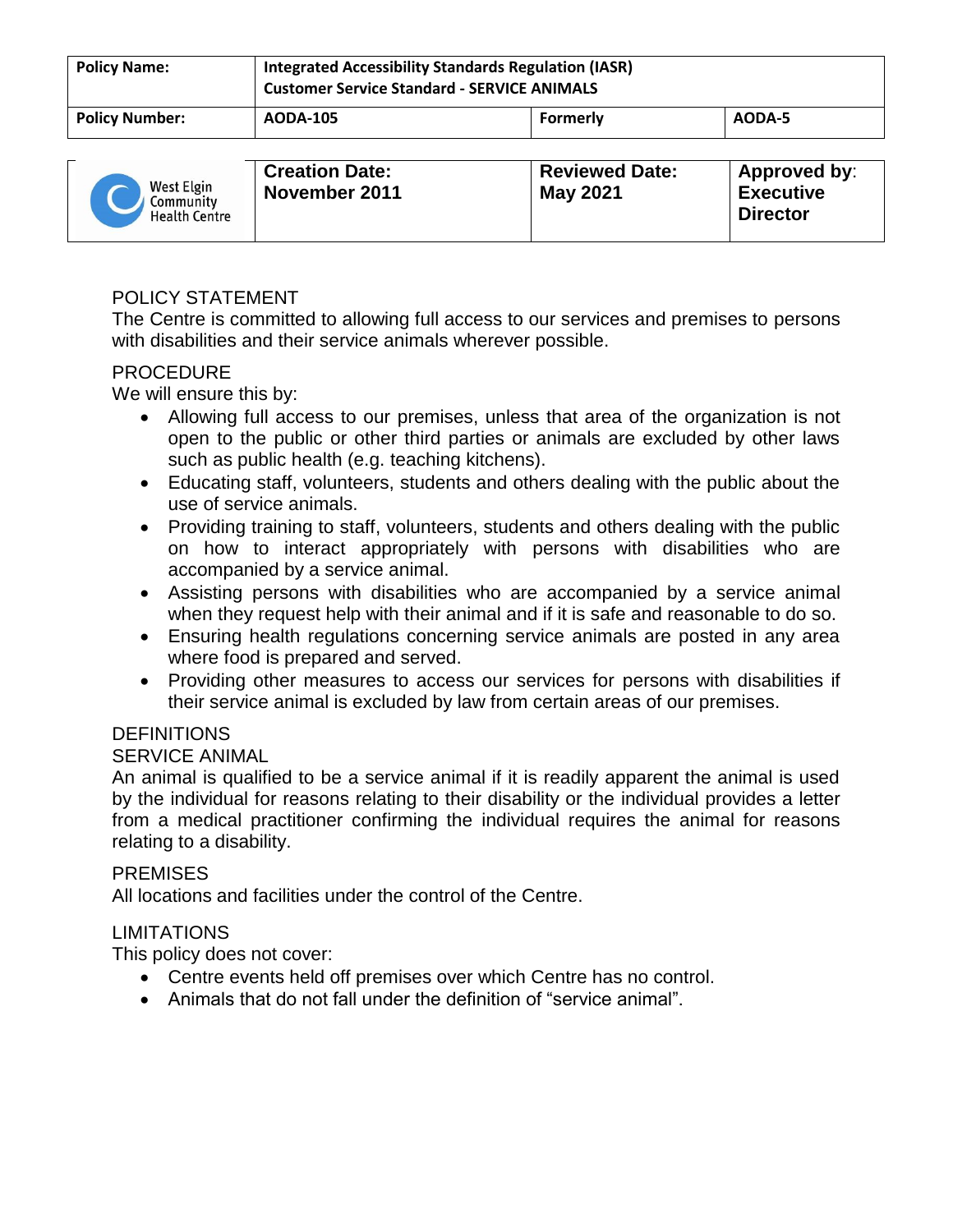| <b>Policy Name:</b>   | <b>Integrated Accessibility Standards Regulation (IASR)</b><br><b>Customer Service Standard - SERVICE ANIMALS</b> |          |        |
|-----------------------|-------------------------------------------------------------------------------------------------------------------|----------|--------|
| <b>Policy Number:</b> | <b>AODA-105</b>                                                                                                   | Formerly | AODA-5 |

| <b>Creation Date:</b><br>West Elgin<br>November 2011<br>Community<br><b>Health Centre</b> | <b>Reviewed Date:</b><br><b>May 2021</b> | <b>Approved by:</b><br><b>Executive</b><br><b>Director</b> |
|-------------------------------------------------------------------------------------------|------------------------------------------|------------------------------------------------------------|
|-------------------------------------------------------------------------------------------|------------------------------------------|------------------------------------------------------------|

# POLICY STATEMENT

The Centre is committed to allowing full access to our services and premises to persons with disabilities and their service animals wherever possible.

### PROCEDURE

We will ensure this by:

- Allowing full access to our premises, unless that area of the organization is not open to the public or other third parties or animals are excluded by other laws such as public health (e.g. teaching kitchens).
- Educating staff, volunteers, students and others dealing with the public about the use of service animals.
- Providing training to staff, volunteers, students and others dealing with the public on how to interact appropriately with persons with disabilities who are accompanied by a service animal.
- Assisting persons with disabilities who are accompanied by a service animal when they request help with their animal and if it is safe and reasonable to do so.
- Ensuring health regulations concerning service animals are posted in any area where food is prepared and served.
- Providing other measures to access our services for persons with disabilities if their service animal is excluded by law from certain areas of our premises.

# **DEFINITIONS**

#### SERVICE ANIMAL

An animal is qualified to be a service animal if it is readily apparent the animal is used by the individual for reasons relating to their disability or the individual provides a letter from a medical practitioner confirming the individual requires the animal for reasons relating to a disability.

# **PREMISES**

All locations and facilities under the control of the Centre.

# LIMITATIONS

This policy does not cover:

- Centre events held off premises over which Centre has no control.
- Animals that do not fall under the definition of "service animal".